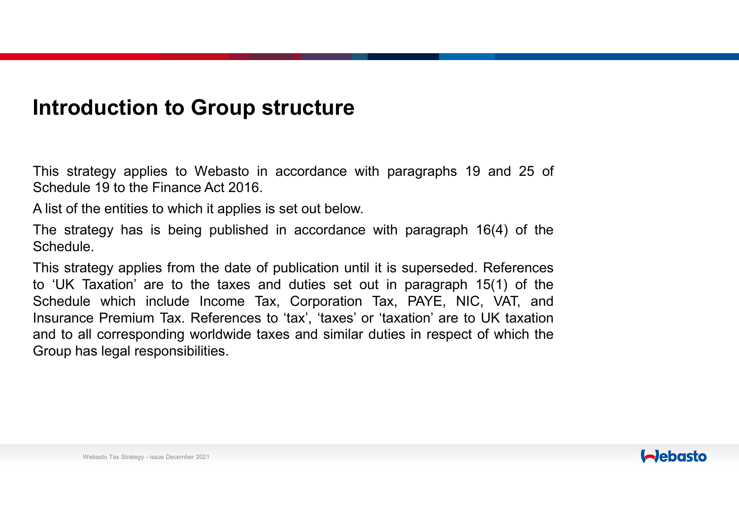### **Introduction to Group structure**

This strategy applies to Webasto in accordance with paragraphs <sup>19</sup> and <sup>25</sup> of Schedule <sup>19</sup> to the Finance Act 2016.

<sup>A</sup> list of the entities to which it applies is set out below.

The strategy has is being published in accordance with paragraph 16(4) of the **Schedule** 

This strategy applies from the date of publication until it is superseded. References to 'UK Taxation' are to the taxes and duties set out in paragraph 15(1) of the Schedule which include Income Tax, Corporation Tax, PAYE, NIC, VAT, and Insurance Premium Tax. References to 'tax', 'taxes' or 'taxation' are to UK taxation and to all corresponding worldwide taxes and similar duties in respect of which the Group has legal responsibilities.

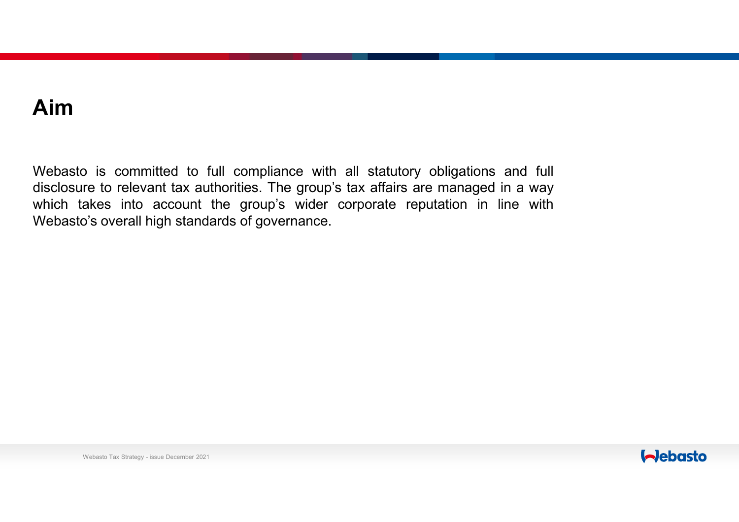# **Aim**

Webasto is committed to full compliance with all statutory obligations and full disclosure to relevant tax authorities. The group's tax affairs are managed in <sup>a</sup> way which takes into account the group's wider corporate reputation in line with Webasto's overall high standards of governance.

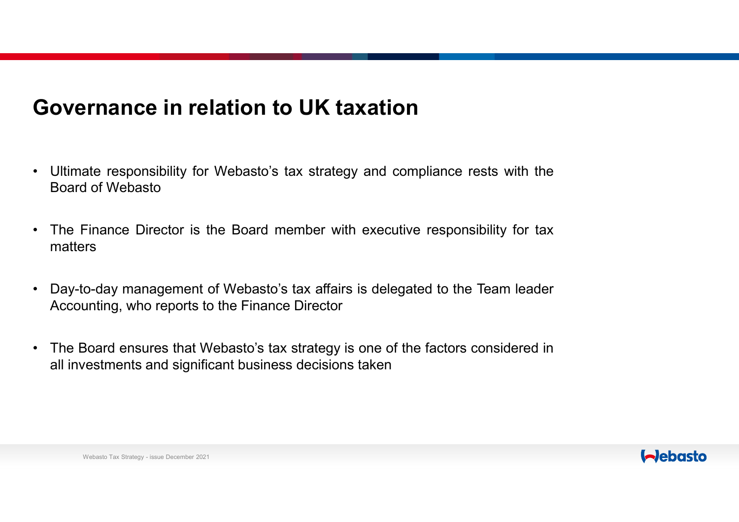# **Governance in relation to UK taxation**

- $\bullet$  Ultimate responsibility for Webasto's tax strategy and compliance rests with the Board of Webasto
- $\bullet$  The Finance Director is the Board member with executive responsibility for tax matters
- $\bullet$  Day-to-day management of Webasto's tax affairs is delegated to the Team leader Accounting, who reports to the Finance Director
- $\bullet$  The Board ensures that Webasto's tax strategy is one of the factors considered in all investments and significant business decisions taken



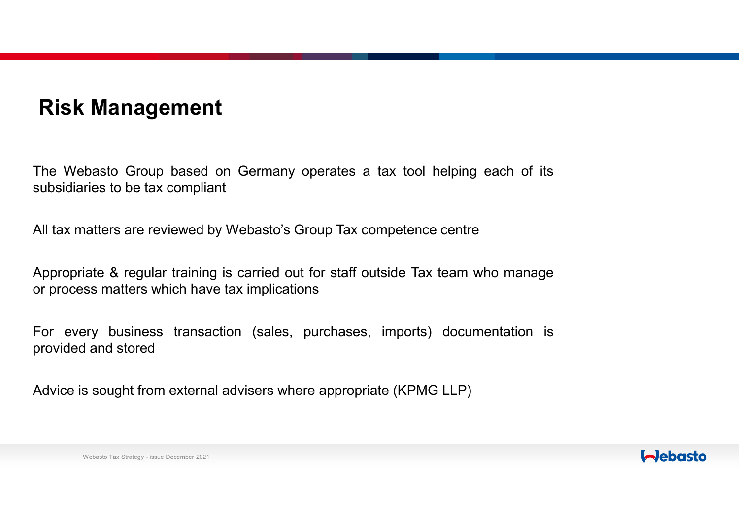# **Risk Management**

The Webasto Group based on Germany operates <sup>a</sup> tax tool helping each of its subsidiaries to be tax compliant

All tax matters are reviewed by Webasto's Group Tax competence centre

Appropriate & regular training is carried out for staff outside Tax team who manage or process matters which have tax implications

For every business transaction (sales, purchases, imports) documentation is provided and stored

Advice is sought from external advisers where appropriate (KPMG LLP)

#### Webasto Tax Strategy - issue December 2021

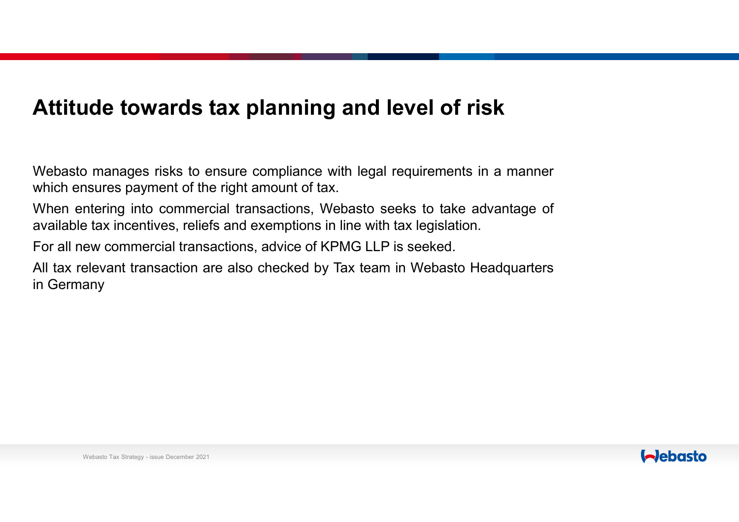# **Attitude towards tax planning and level of risk**

Webasto manages risks to ensure compliance with legal requirements in <sup>a</sup> manner which ensures payment of the right amount of tax.

When entering into commercial transactions, Webasto seeks to take advantage of available tax incentives, reliefs and exemptions in line with tax legislation.

For all new commercial transactions, advice of KPMG LLP is seeked.

All tax relevant transaction are also checked by Tax team in Webasto Headquarters in Germany

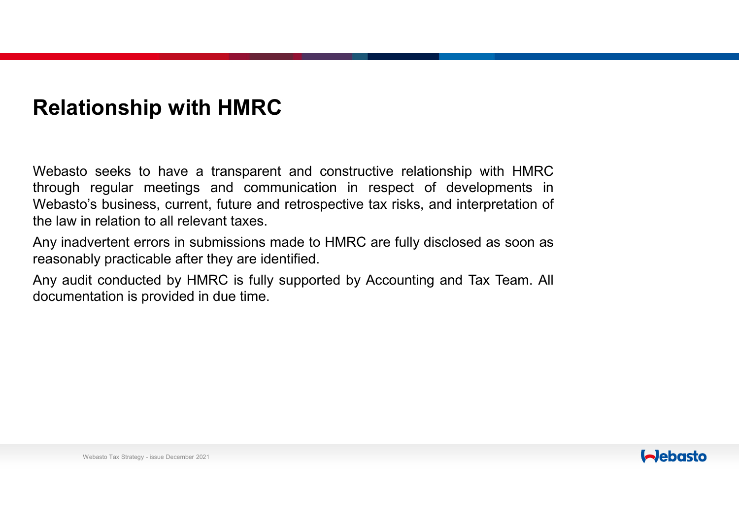# **Relationship with HMRC**

Webasto seeks to have <sup>a</sup> transparent and constructive relationship with HMRC through regular meetings and communication in respect of developments in Webasto's business, current, future and retrospective tax risks, and interpretation of the law in relation to all relevant taxes.

Any inadvertent errors in submissions made to HMRC are fully disclosed as soon as reasonably practicable after they are identified.

Any audit conducted by HMRC is fully supported by Accounting and Tax Team. All documentation is provided in due time.

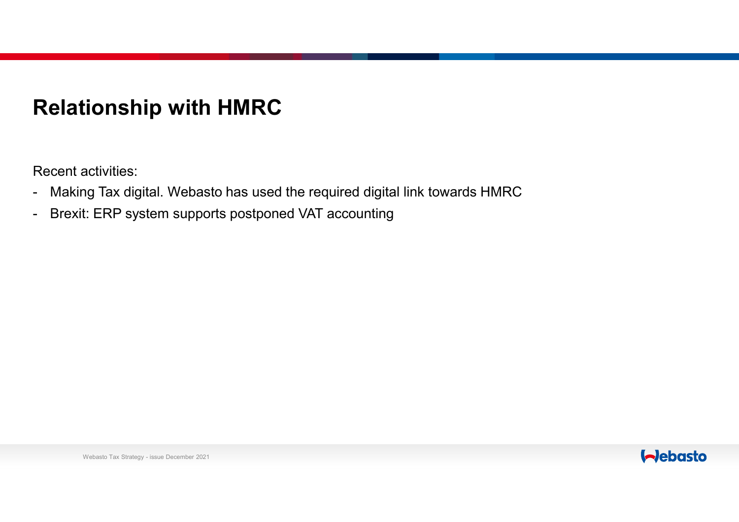# **Relationship with HMRC**

Recent activities:

- -Making Tax digital. Webasto has used the required digital link towards HMRC
- -Brexit: ERP system supports postponed VAT accounting

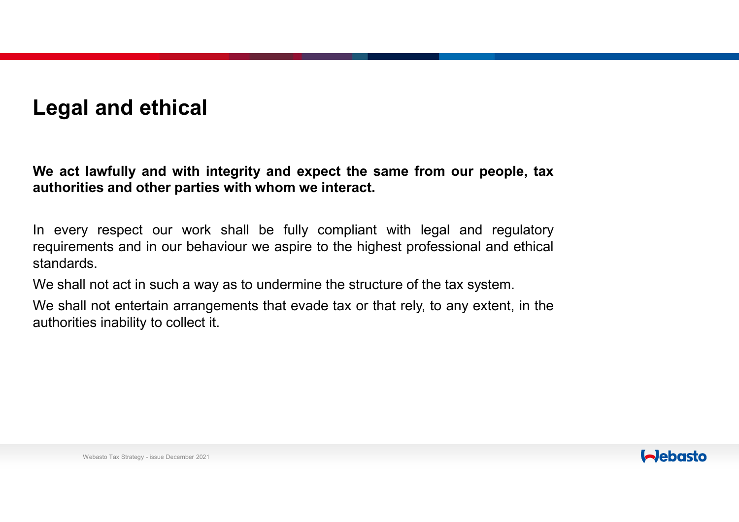# **Legal and ethical**

We act lawfully and with integrity and expect the same from our people, tax **authorities and other parties with whom we interact.**

In every respect our work shall be fully compliant with legal and regulatory requirements and in our behaviour we aspire to the highest professional and ethical standards.

We shall not act in such <sup>a</sup> way as to undermine the structure of the tax system.

We shall not entertain arrangements that evade tax or that rely, to any extent, in the authorities inability to collect it.

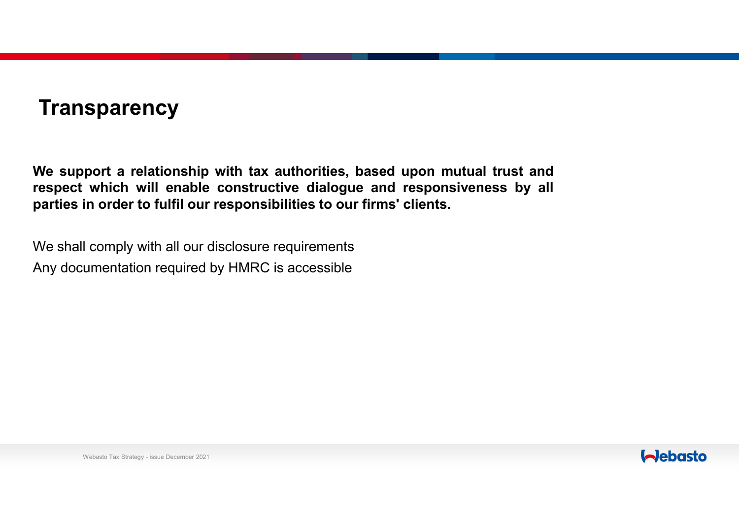# **Transparency**

We support a relationship with tax authorities, based upon mutual trust and **respect which will enable constructive dialogue and responsiveness by all parties in order to fulfil our responsibilities to our firms' clients.**

We shall comply with all our disclosure requirements Any documentation required by HMRC is accessible

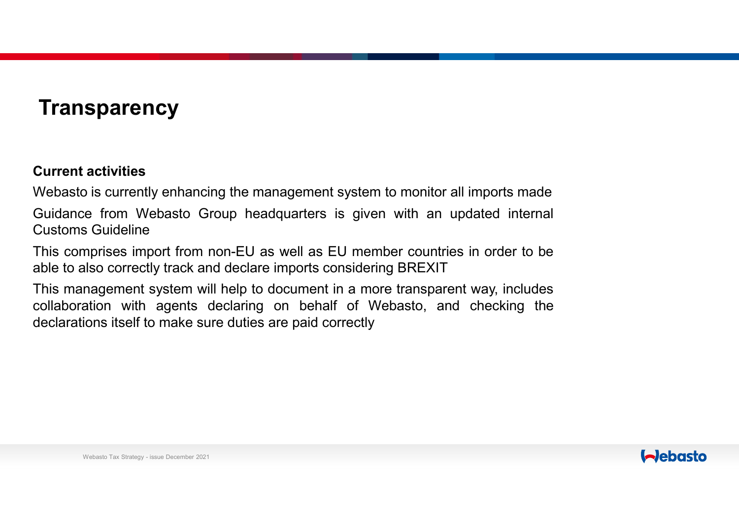# **Transparency**

#### **Current activities**

Webasto is currently enhancing the management system to monitor all imports made Guidance from Webasto Group headquarters is given with an updated internal Customs Guideline

This comprises import from non-EU as well as EU member countries in order to be able to also correctly track and declare imports considering BREXIT

This management system will help to document in <sup>a</sup> more transparent way, includes collaboration with agents declaring on behalf of Webasto, and checking the declarations itself to make sure duties are paid correctly